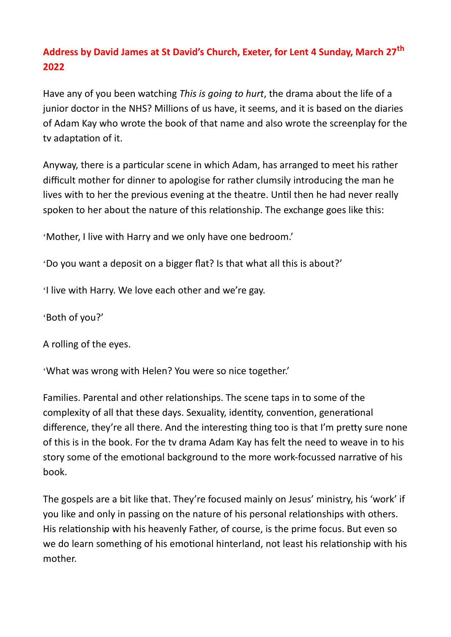## **Address by David James at St David's Church, Exeter, for Lent 4 Sunday, March 27th 2022**

Have any of you been watching *This is going to hurt*, the drama about the life of a junior doctor in the NHS? Millions of us have, it seems, and it is based on the diaries of Adam Kay who wrote the book of that name and also wrote the screenplay for the tv adaptation of it.

Anyway, there is a particular scene in which Adam, has arranged to meet his rather difficult mother for dinner to apologise for rather clumsily introducing the man he lives with to her the previous evening at the theatre. Until then he had never really spoken to her about the nature of this relationship. The exchange goes like this:

'Mother, I live with Harry and we only have one bedroom.'

'Do you want a deposit on a bigger flat? Is that what all this is about?'

'I live with Harry. We love each other and we're gay.

'Both of you?'

A rolling of the eyes.

'What was wrong with Helen? You were so nice together.'

Families. Parental and other relationships. The scene taps in to some of the complexity of all that these days. Sexuality, identity, convention, generational difference, they're all there. And the interesting thing too is that I'm pretty sure none of this is in the book. For the tv drama Adam Kay has felt the need to weave in to his story some of the emotional background to the more work-focussed narrative of his book.

The gospels are a bit like that. They're focused mainly on Jesus' ministry, his 'work' if you like and only in passing on the nature of his personal relationships with others. His relationship with his heavenly Father, of course, is the prime focus. But even so we do learn something of his emotional hinterland, not least his relationship with his mother.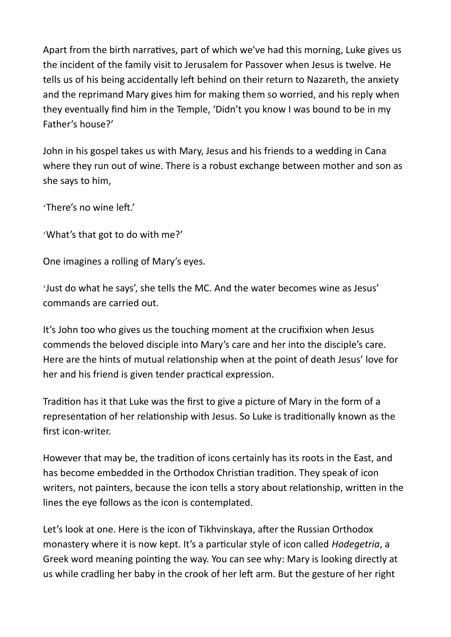Apart from the birth narratives, part of which we've had this morning, Luke gives us the incident of the family visit to Jerusalem for Passover when Jesus is twelve. He tells us of his being accidentally left behind on their return to Nazareth, the anxiety and the reprimand Mary gives him for making them so worried, and his reply when they eventually find him in the Temple, 'Didn't you know I was bound to be in my Father's house?'

John in his gospel takes us with Mary, Jesus and his friends to a wedding in Cana where they run out of wine. There is a robust exchange between mother and son as she says to him,

'There's no wine left.'

'What's that got to do with me?'

One imagines a rolling of Mary's eyes.

'Just do what he says', she tells the MC. And the water becomes wine as Jesus' commands are carried out.

It's John too who gives us the touching moment at the crucifixion when Jesus commends the beloved disciple into Mary's care and her into the disciple's care. Here are the hints of mutual relationship when at the point of death Jesus' love for her and his friend is given tender practical expression.

Tradition has it that Luke was the first to give a picture of Mary in the form of a representation of her relationship with Jesus. So Luke is traditionally known as the first icon-writer.

However that may be, the tradition of icons certainly has its roots in the East, and has become embedded in the Orthodox Christian tradition. They speak of icon writers, not painters, because the icon tells a story about relationship, written in the lines the eye follows as the icon is contemplated.

Let's look at one. Here is the icon of Tikhvinskaya, after the Russian Orthodox monastery where it is now kept. It's a particular style of icon called *Hodegetria*, a Greek word meaning pointing the way. You can see why: Mary is looking directly at us while cradling her baby in the crook of her left arm. But the gesture of her right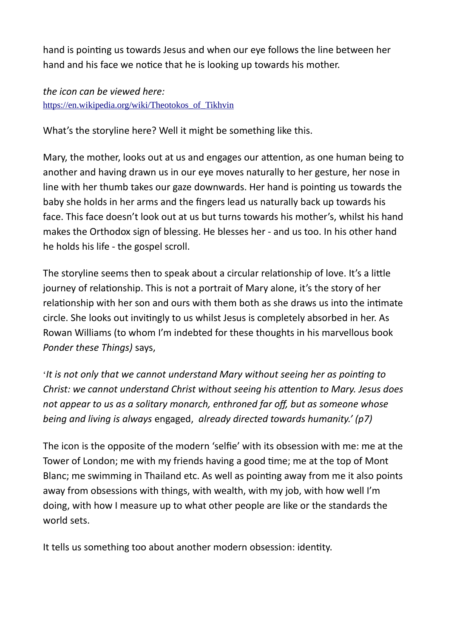hand is pointing us towards Jesus and when our eye follows the line between her hand and his face we notice that he is looking up towards his mother.

*the icon can be viewed here:* [https://en.wikipedia.org/wiki/Theotokos\\_of\\_Tikhvin](https://en.wikipedia.org/wiki/Theotokos_of_Tikhvin)

What's the storyline here? Well it might be something like this.

Mary, the mother, looks out at us and engages our attention, as one human being to another and having drawn us in our eye moves naturally to her gesture, her nose in line with her thumb takes our gaze downwards. Her hand is pointing us towards the baby she holds in her arms and the fingers lead us naturally back up towards his face. This face doesn't look out at us but turns towards his mother's, whilst his hand makes the Orthodox sign of blessing. He blesses her - and us too. In his other hand he holds his life - the gospel scroll.

The storyline seems then to speak about a circular relationship of love. It's a little journey of relationship. This is not a portrait of Mary alone, it's the story of her relationship with her son and ours with them both as she draws us into the intimate circle. She looks out invitingly to us whilst Jesus is completely absorbed in her. As Rowan Williams (to whom I'm indebted for these thoughts in his marvellous book *Ponder these Things)* says,

'*It is not only that we cannot understand Mary without seeing her as pointing to Christ: we cannot understand Christ without seeing his attention to Mary. Jesus does not appear to us as a solitary monarch, enthroned far off, but as someone whose being and living is always* engaged, *already directed towards humanity.' (p7)*

The icon is the opposite of the modern 'selfie' with its obsession with me: me at the Tower of London; me with my friends having a good time; me at the top of Mont Blanc; me swimming in Thailand etc. As well as pointing away from me it also points away from obsessions with things, with wealth, with my job, with how well I'm doing, with how I measure up to what other people are like or the standards the world sets.

It tells us something too about another modern obsession: identity.